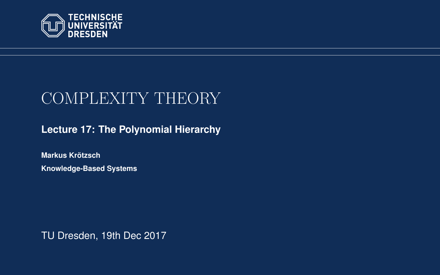<span id="page-0-0"></span>

# COMPLEXITY THEORY

**[Lecture 17: The Polynomial Hierarchy](https://iccl.inf.tu-dresden.de/web/Complexity_Theory_(WS2017/18))**

**[Markus Krotzsch](https://iccl.inf.tu-dresden.de/web/Markus_Kr%C3%B6tzsch/en) ¨ Knowledge-Based Systems**

TU Dresden, 19th Dec 2017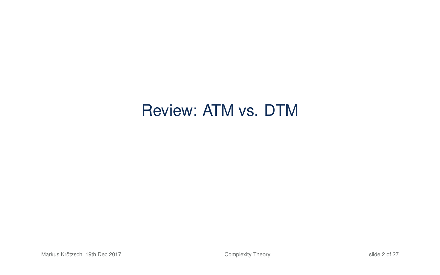# Review: ATM vs. DTM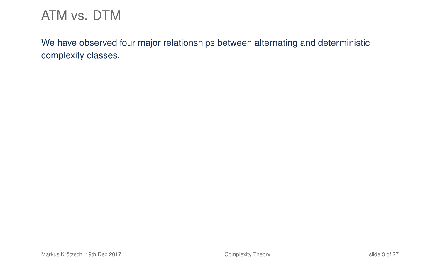We have observed four major relationships between alternating and deterministic complexity classes.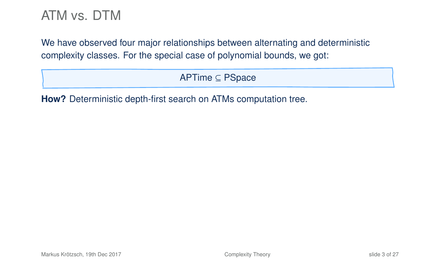We have observed four major relationships between alternating and deterministic complexity classes. For the special case of polynomial bounds, we got:

APTime ⊆ PSpace

**How?** Deterministic depth-first search on ATMs computation tree.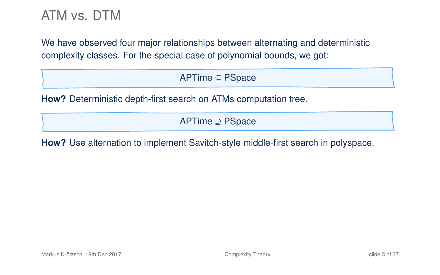We have observed four major relationships between alternating and deterministic complexity classes. For the special case of polynomial bounds, we got:

APTime ⊆ PSpace

**How?** Deterministic depth-first search on ATMs computation tree.

APTime ⊇ PSpace

**How?** Use alternation to implement Savitch-style middle-first search in polyspace.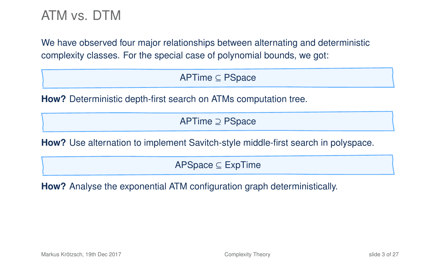We have observed four major relationships between alternating and deterministic complexity classes. For the special case of polynomial bounds, we got:

APTime ⊆ PSpace

**How?** Deterministic depth-first search on ATMs computation tree.

APTime ⊇ PSpace

**How?** Use alternation to implement Savitch-style middle-first search in polyspace.

APSpace ⊆ ExpTime

**How?** Analyse the exponential ATM configuration graph deterministically.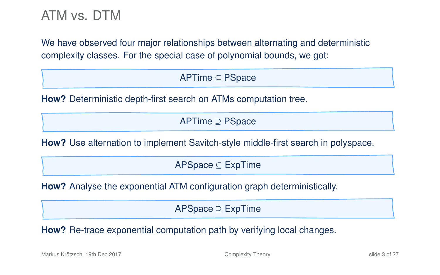We have observed four major relationships between alternating and deterministic complexity classes. For the special case of polynomial bounds, we got:

APTime ⊆ PSpace

**How?** Deterministic depth-first search on ATMs computation tree.

APTime ⊇ PSpace

**How?** Use alternation to implement Savitch-style middle-first search in polyspace.

APSpace ⊆ ExpTime

**How?** Analyse the exponential ATM configuration graph deterministically.

APSpace ⊇ ExpTime

**How?** Re-trace exponential computation path by verifying local changes.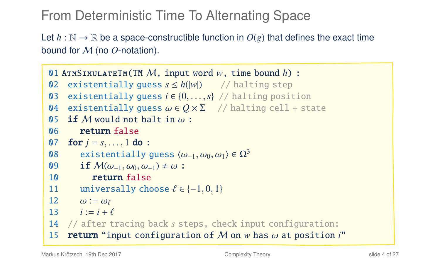From Deterministic Time To Alternating Space

Let  $h : \mathbb{N} \to \mathbb{R}$  be a space-constructible function in  $O(g)$  that defines the exact time bound for M (no *O*-notation).

```
01 AtmSimulateTm(TM M, input word w, time bound h) :
02 existentially guess s \leq h(|w|) // halting step
03 existentially guess i \in \{0, ..., s\} // halting position<br>04 existentially quess \omega \in O \times \Sigma // halting cell + sta
04 existentially guess \omega \in Q \times \Sigma // halting cell + state 05 if M would not halt in \omega:
05 if M would not halt in \omega:<br>06 return false
           return false
07 for j = s, ..., 1 do :<br>08 existentially
08 existentially guess \langle \omega_{-1}, \omega_0, \omega_1 \rangle \in \Omega^3<br>09 if M(\omega_{-1}, \omega_0, \omega_{+1}) \neq \omega:
09 if M(\omega_{-1}, \omega_0, \omega_{+1}) \neq \omega:<br>10 return false
               return false
11 universally choose \ell \in \{-1, 0, 1\}<br>12 \omega := \omega_{\ell}12 \omega := \omega_{\ell}<br>13 i := i + j13 i := i + \ell<br>14 \ell after t
14 // after tracing back s steps, check input configuration:
15 return "input configuration of M on w has ω at position i"
```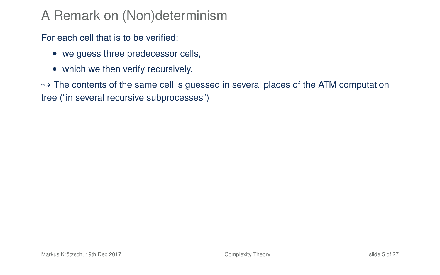# A Remark on (Non)determinism

For each cell that is to be verified:

- we guess three predecessor cells,
- which we then verify recursively.

 $\rightarrow$  The contents of the same cell is guessed in several places of the ATM computation tree ("in several recursive subprocesses")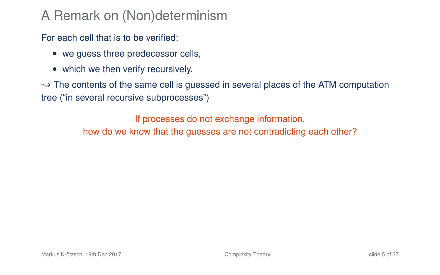# A Remark on (Non)determinism

For each cell that is to be verified:

- we guess three predecessor cells,
- which we then verify recursively.

 $\rightarrow$  The contents of the same cell is guessed in several places of the ATM computation tree ("in several recursive subprocesses")

> If processes do not exchange information, how do we know that the guesses are not contradicting each other?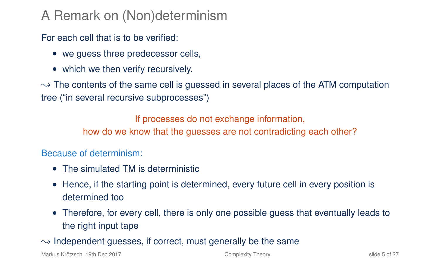# A Remark on (Non)determinism

For each cell that is to be verified:

- we guess three predecessor cells,
- which we then verify recursively.

 $\rightarrow$  The contents of the same cell is guessed in several places of the ATM computation tree ("in several recursive subprocesses")

If processes do not exchange information,

how do we know that the guesses are not contradicting each other?

#### Because of determinism:

- The simulated TM is deterministic
- Hence, if the starting point is determined, every future cell in every position is determined too
- Therefore, for every cell, there is only one possible guess that eventually leads to the right input tape

 $\rightarrow$  Independent guesses, if correct, must generally be the same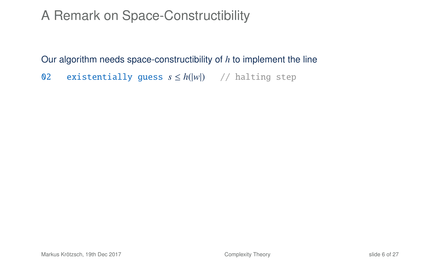# A Remark on Space-Constructibility

Our algorithm needs space-constructibility of *h* to implement the line

02 existentially guess *s* ≤ *h*(|*w*|) // halting step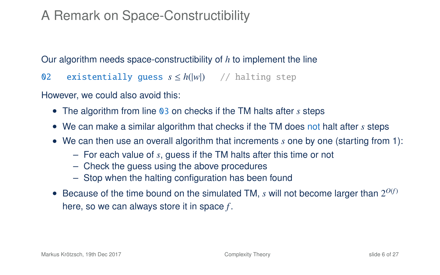# A Remark on Space-Constructibility

Our algorithm needs space-constructibility of *h* to implement the line

02 existentially guess *s* ≤ *h*(|*w*|) // halting step

However, we could also avoid this:

- The algorithm from line 03 on checks if the TM halts after *s* steps
- We can make a similar algorithm that checks if the TM does not halt after *s* steps
- We can then use an overall algorithm that increments *s* one by one (starting from 1):
	- For each value of *s*, guess if the TM halts after this time or not
	- Check the guess using the above procedures
	- Stop when the halting configuration has been found
- Because of the time bound on the simulated TM,  $s$  will not become larger than  $2^{O(f)}$ here, so we can always store it in space *f* .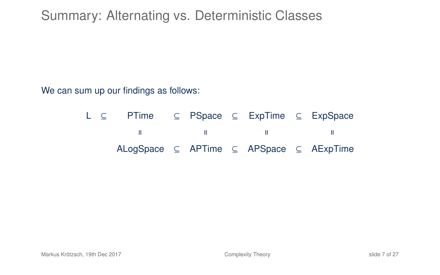# Summary: Alternating vs. Deterministic Classes

We can sum up our findings as follows:

L ⊆ PTime ⊆ PSpace ⊆ ExpTime ⊆ ExpSpace  $\mathbf{H}$  $\blacksquare$  $\blacksquare$  $\blacksquare$ ALogSpace ⊆ APTime ⊆ APSpace ⊆ AExpTime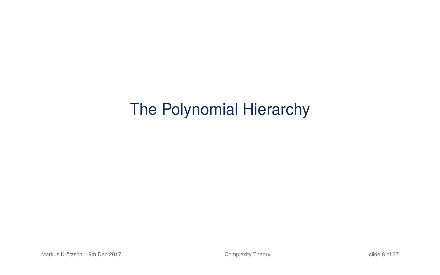# The Polynomial Hierarchy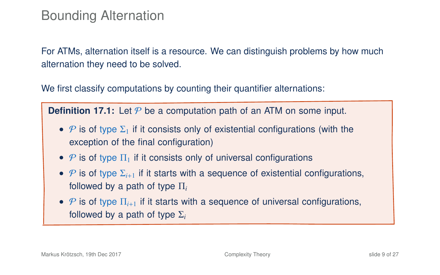### Bounding Alternation

For ATMs, alternation itself is a resource. We can distinguish problems by how much alternation they need to be solved.

We first classify computations by counting their quantifier alternations:

**Definition 17.1:** Let  $P$  be a computation path of an ATM on some input.

- P is of type  $\Sigma_1$  if it consists only of existential configurations (with the exception of the final configuration)
- P is of type  $\Pi_1$  if it consists only of universal configurations
- $P$  is of type  $\Sigma_{i+1}$  if it starts with a sequence of existential configurations, followed by a path of type Π*<sup>i</sup>*
- $P$  is of type  $\Pi_{i+1}$  if it starts with a sequence of universal configurations, followed by a path of type Σ*<sup>i</sup>*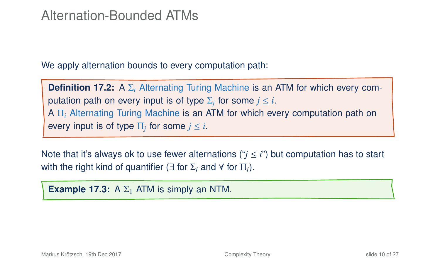### Alternation-Bounded ATMs

We apply alternation bounds to every computation path:

**Definition 17.2:** A Σ*<sup>i</sup>* Alternating Turing Machine is an ATM for which every computation path on every input is of type  $\Sigma_j$  for some  $j\le i.$ A Π*<sup>i</sup>* Alternating Turing Machine is an ATM for which every computation path on every input is of type  $\Pi_j$  for some  $j\leq i.$ 

Note that it's always ok to use fewer alternations (" $i \le i$ ") but computation has to start with the right kind of quantifier ( $\exists$  for  $\Sigma_i$  and  $\forall$  for  $\Pi_i$ ).

**Example 17.3:** A  $\Sigma_1$  ATM is simply an NTM.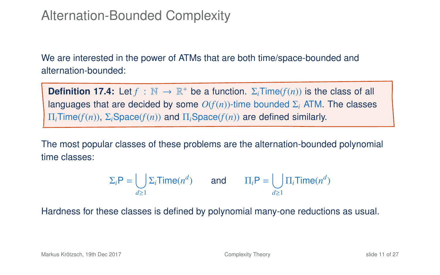We are interested in the power of ATMs that are both time/space-bounded and alternation-bounded:

**Definition 17.4:** Let  $f : \mathbb{N} \to \mathbb{R}^+$  be a function.  $\Sigma_i$ Time( $f(n)$ ) is the class of all languages that are decided by some  $O(f(n))$ -time bounded  $\Sigma_i$  ATM. The classes Π*i*Time(*f*(*n*)), Σ*i*Space(*f*(*n*)) and Π*i*Space(*f*(*n*)) are defined similarly.

The most popular classes of these problems are the alternation-bounded polynomial time classes:

$$
\Sigma_i \mathsf{P} = \bigcup_{d \ge 1} \Sigma_i \mathsf{Time}(n^d) \qquad \text{and} \qquad \Pi_i \mathsf{P} = \bigcup_{d \ge 1} \Pi_i \mathsf{Time}(n^d)
$$

Hardness for these classes is defined by polynomial many-one reductions as usual.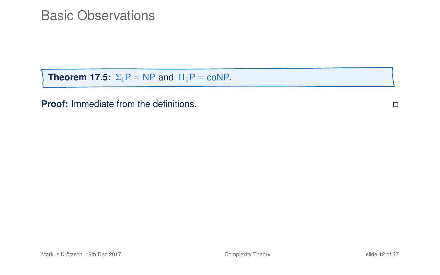### Basic Observations

**Theorem 17.5:**  $\Sigma_1 P = NP$  and  $\Pi_1 P = \text{coNP}$ .

**Proof:** Immediate from the definitions.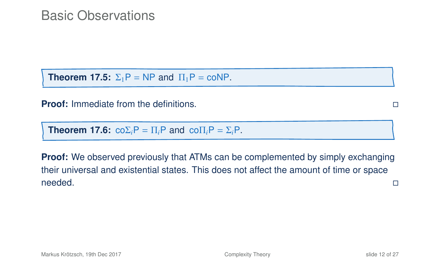### Basic Observations

**Theorem 17.5:**  $\Sigma_1P = NP$  and  $\Pi_1P = \text{coNP}$ .

**Proof:** Immediate from the definitions.

**Theorem 17.6:**  $\cos P = \prod_i P$  and  $\cos \Pi_i P = \sum_i P$ .

**Proof:** We observed previously that ATMs can be complemented by simply exchanging their universal and existential states. This does not affect the amount of time or space needed.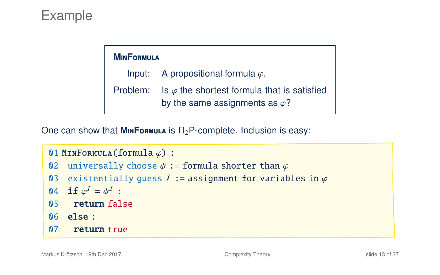# Example

#### **M**in**F**ormula

Input: A propositional formula  $\varphi$ . Problem: Is  $\varphi$  the shortest formula that is satisfied by the same assignments as  $\varphi$ ?

One can show that **M**INFORMULA is  $\Pi_2$ P-complete. Inclusion is easy:

```
01 MINFORMULA(formula \varphi) :<br>02 universally choose \nu
```
- 02 universally choose  $\psi :=$  formula shorter than  $\varphi$ <br>03 existentially quess *I* := assignment for variab
- 03 existentially guess  $\overline{I}$  := assignment for variables in  $\varphi$ <br>04 if  $\omega^I = \omega^I$  :

```
04 if \varphi^I = \psi^I :<br>05 roturn fol
```
- 05 return false
- 06 else :
- 07 return true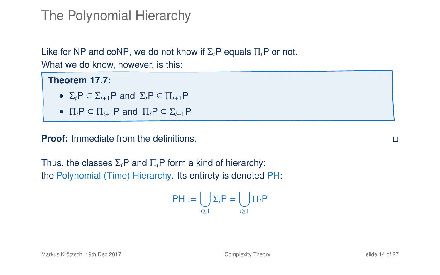## The Polynomial Hierarchy

Like for NP and coNP, we do not know if Σ*i*P equals Π*i*P or not. What we do know, however, is this:

**Theorem 17.7:** •  $\Sigma_i P \subset \Sigma_{i+1} P$  and  $\Sigma_i P \subset \Pi_{i+1} P$ •  $\Pi_i P \subseteq \Pi_{i+1} P$  and  $\Pi_i P \subseteq \Sigma_{i+1} P$ 

**Proof:** Immediate from the definitions.

Thus, the classes Σ*i*P and Π*i*P form a kind of hierarchy: the Polynomial (Time) Hierarchy. Its entirety is denoted PH:

$$
\mathsf{PH}:=\bigcup_{i\geq 1}\Sigma_i\mathsf{P}=\bigcup_{i\geq 1}\Pi_i\mathsf{P}
$$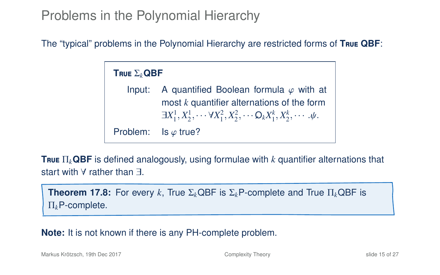### Problems in the Polynomial Hierarchy

The "typical" problems in the Polynomial Hierarchy are restricted forms of **T**rue **QBF**:

**T**rue Σ*k***QBF**

Input: A quantified Boolean formula  $\varphi$  with at most *k* quantifier alternations of the form  $\exists X_1^1, X_2^1, \cdots \forall X_1^2, X_2^2, \cdots \mathsf{O}_k X_1^k, X_2^k, \cdots \psi.$ Problem: Is  $\varphi$  true?

**T**rue Π*k***QBF** is defined analogously, using formulae with *k* quantifier alternations that start with ∀ rather than ∃.

**Theorem 17.8:** For every *k*, True Σ*k*QBF is Σ*k*P-complete and True Π*k*QBF is Π*k*P-complete.

**Note:** It is not known if there is any PH-complete problem.

Markus Krötzsch, 19th Dec 2017 [Complexity Theory](#page-0-0) slide 15 of 27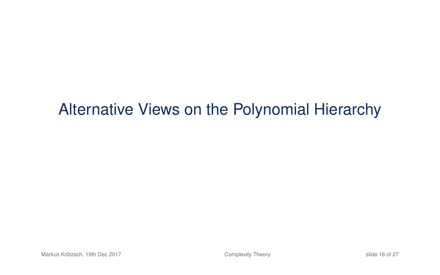# Alternative Views on the Polynomial Hierarchy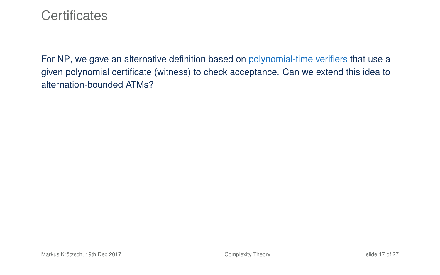### **Certificates**

For NP, we gave an alternative definition based on polynomial-time verifiers that use a given polynomial certificate (witness) to check acceptance. Can we extend this idea to alternation-bounded ATMs?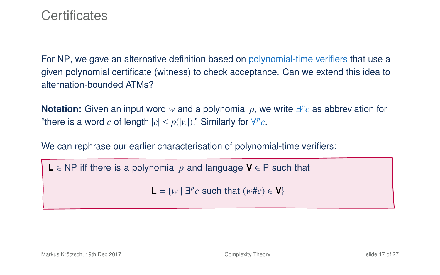### **Certificates**

For NP, we gave an alternative definition based on polynomial-time verifiers that use a given polynomial certificate (witness) to check acceptance. Can we extend this idea to alternation-bounded ATMs?

**Notation:** Given an input word w and a polynomial p, we write  $\exists P c$  as abbreviation for "there is a word *c* of length  $|c| \le p(|w|)$ ." Similarly for  $\forall P c$ .

We can rephrase our earlier characterisation of polynomial-time verifiers:

**L** ∈ NP iff there is a polynomial *p* and language **V** ∈ P such that

**L** =  $\{w \mid \exists^p c \text{ such that } (w \# c) \in \mathbf{V}\}\$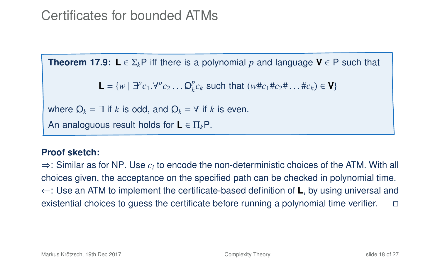## Certificates for bounded ATMs

**Theorem 17.9:**  $L \in \Sigma_k$ P iff there is a polynomial p and language  $V \in P$  such that

<span id="page-26-0"></span>**L** =  $\{w \mid \exists^p c_1 \, \forall^p c_2 \dots \mathcal{Q}_k^p c$ *k*<sup>*c*</sup>*k* such that (*w*#*c*<sub>1</sub>#*c*<sub>2</sub># . . . #*c*<sub>*k*</sub>) ∈ **V**}

where  $Q_k = \exists$  if k is odd, and  $Q_k = \forall$  if k is even.

An analoguous result holds for **L** ∈ Π*k*P.

#### **Proof sketch:**

 $\Rightarrow$ : Similar as for NP. Use  $c_i$  to encode the non-deterministic choices of the ATM. With all choices given, the acceptance on the specified path can be checked in polynomial time. ⇐: Use an ATM to implement the certificate-based definition of **L**, by using universal and existential choices to guess the certificate before running a polynomial time verifier.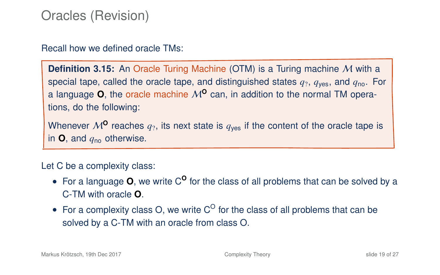### Oracles (Revision)

Recall how we defined oracle TMs:

**Definition 3.15:** An Oracle Turing Machine (OTM) is a Turing machine M with a special tape, called the oracle tape, and distinguished states  $q_2$ ,  $q_{\text{ves}}$ , and  $q_{\text{no}}$ . For a language  $O$ , the oracle machine  $M^O$  can, in addition to the normal TM operations, do the following:

Whenever  $M^{\mathbf{0}}$  reaches  $q_2$ , its next state is  $q_{\text{ves}}$  if the content of the oracle tape is in  $\mathbf{O}$ , and  $q_{\text{no}}$  otherwise.

Let C be a complexity class:

- For a language **O**, we write C<sup>**O**</sup> for the class of all problems that can be solved by a C-TM with oracle **O**.
- For a complexity class O, we write  $C^{\circ}$  for the class of all problems that can be solved by a C-TM with an oracle from class O.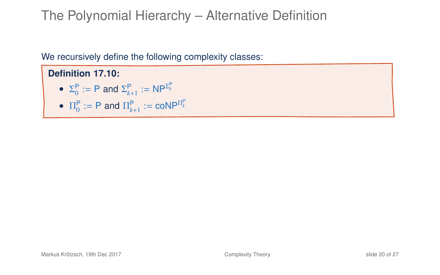# The Polynomial Hierarchy – Alternative Definition

We recursively define the following complexity classes:

**Definition 17.10:**

- $\Sigma_0^P := P$  and  $\Sigma_{k+1}^P := NP^{\Sigma_k^P}$
- $\Pi_0^{\mathsf{P}} := \mathsf{P}$  and  $\Pi_{k+1}^{\mathsf{P}} := \mathsf{coNP}^{\Pi_k^{\mathsf{P}}}$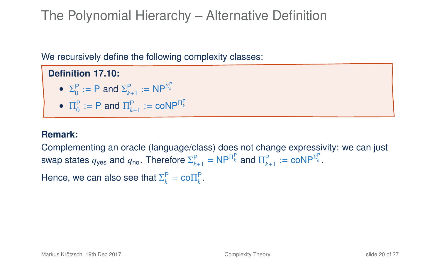# The Polynomial Hierarchy – Alternative Definition

We recursively define the following complexity classes:

**Definition 17.10:** •  $\Sigma_0^P := P$  and  $\Sigma_{k+1}^P := NP^{\Sigma_k^P}$ •  $\Pi_0^{\mathsf{P}} := \mathsf{P}$  and  $\Pi_{k+1}^{\mathsf{P}} := \mathsf{coNP}^{\Pi_k^{\mathsf{P}}}$ 

#### **Remark:**

Complementing an oracle (language/class) does not change expressivity: we can just swap states  $q_{\sf yes}$  and  $q_{\sf no}$ . Therefore  $\Sigma_{k+1}^{\sf P} = {\sf N}{\sf P}^{\Pi_k^{\sf P}}$  and  $\Pi_{k+1}^{\sf P} := {\sf co}{\sf N}{\sf P}^{\Sigma_k^{\sf P}}.$ 

Hence, we can also see that  $\Sigma_k^P = \text{co}\Pi_k^P$ .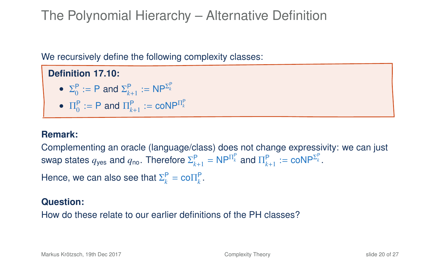# The Polynomial Hierarchy – Alternative Definition

We recursively define the following complexity classes:

**Definition 17.10:** •  $\Sigma_0^P := P$  and  $\Sigma_{k+1}^P := NP^{\Sigma_k^P}$ •  $\Pi_0^{\mathsf{P}} := \mathsf{P}$  and  $\Pi_{k+1}^{\mathsf{P}} := \mathsf{coNP}^{\Pi_k^{\mathsf{P}}}$ 

#### **Remark:**

Complementing an oracle (language/class) does not change expressivity: we can just swap states  $q_{\sf yes}$  and  $q_{\sf no}$ . Therefore  $\Sigma_{k+1}^{\sf P} = {\sf N}{\sf P}^{\Pi_k^{\sf P}}$  and  $\Pi_{k+1}^{\sf P} := {\sf co}{\sf N}{\sf P}^{\Sigma_k^{\sf P}}.$ 

Hence, we can also see that  $\Sigma_k^P = \text{co}\Pi_k^P$ .

#### **Question:**

How do these relate to our earlier definitions of the PH classes?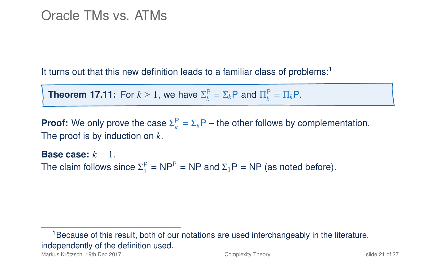### Oracle TMs vs. ATMs

It turns out that this new definition leads to a familiar class of problems:<sup>1</sup>

**Theorem 17.11:** For  $k \geq 1$ , we have  $\Sigma_k^{\mathsf{P}} = \Sigma_k \mathsf{P}$  and  $\Pi_k^{\mathsf{P}} = \Pi_k \mathsf{P}$ .

**Proof:** We only prove the case  $\Sigma_k^P = \Sigma_k P$  – the other follows by complementation. The proof is by induction on *k*.

**Base case:** *k* = 1. The claim follows since  $\Sigma_1^P = NP^P = NP$  and  $\Sigma_1P = NP$  (as noted before).

<sup>1</sup>Because of this result, both of our notations are used interchangeably in the literature, independently of the definition used.

Markus Krötzsch, 19th Dec 2017 [Complexity Theory](#page-0-0) slide 21 of 27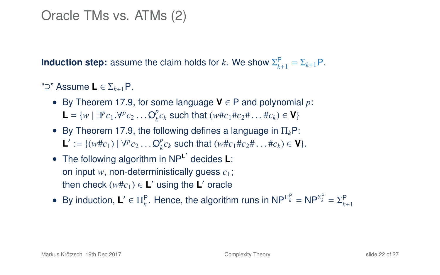### Oracle TMs vs. ATMs (2)

**Induction step:** assume the claim holds for *k*. We show  $\Sigma_{k+1}^{\mathsf{P}} = \Sigma_{k+1} \mathsf{P}$ .

"⊇" Assume **L** ∈ Σ*<sup>k</sup>*+1P.

- By Theorem 17[.9,](#page-26-0) for some language **V** ∈ P and polynomial *p*: **L** =  $\{w \mid \exists^p c_1 \, \forall^p c_2 \dots \mathcal{Q}_k^p c_k\}$ *k*<sup>*c*</sup>*k* such that (*w*#*c*<sub>1</sub>#*c*<sub>2</sub># . . . #*c*<sub>*k*</sub>) ∈ **V**}
- By Theorem 17[.9,](#page-26-0) the following defines a language in  $\Pi_k$ P: **L**<sup>'</sup> := { $(w \# c_1) | \forall^{p} c_2 ... \mathcal{Q}_{k}^{p} c_{k}$ *k*<sup>*c*</sup>*k* such that (*w*#*c*<sub>1</sub>#*c*<sub>2</sub># . . . #*c*<sub>*k*</sub>) ∈ **V**}.
- The following algorithm in NP**<sup>L</sup>** 0 decides **L**: on input *w*, non-deterministically guess *c*1; then check  $(w \# c_1) \in L'$  using the L' oracle

• By induction,  $L' \in \Pi_k^P$ . Hence, the algorithm runs in  $NP^{\Pi_k^P} = NP^{\Sigma_k^P} = \Sigma_{k+1}^P$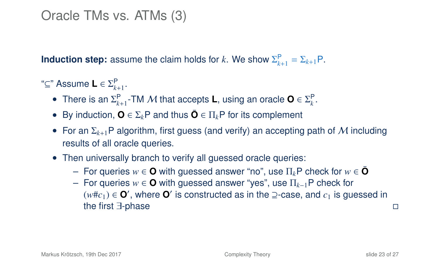### Oracle TMs vs. ATMs (3)

**Induction step:** assume the claim holds for *k*. We show  $\Sigma_{k+1}^{\mathsf{P}} = \Sigma_{k+1} \mathsf{P}$ .

"⊆" Assume **L** ∈ Σ P *k*+1 .

- There is an  $\Sigma_{k+1}^{\mathsf{P}}$ -TM M that accepts **L**, using an oracle  $\mathbf{O} \in \Sigma_{k}^{\mathsf{P}}$ .
- By induction,  $\mathbf{O} \in \Sigma_k$ P and thus  $\bar{\mathbf{O}} \in \Pi_k$ P for its complement
- For an Σ*<sup>k</sup>*+1P algorithm, first guess (and verify) an accepting path of M including results of all oracle queries.
- Then universally branch to verify all quessed oracle queries:
	- $\overline{ }$  − For queries *w* ∈ **O** with guessed answer "no", use Π<sub>*k*</sub>P check for *w* ∈ **Ō**
	- For queries *w* ∈ **O** with guessed answer "yes", use Π*k*−1P check for  $(w \# c_1)$  ∈  $\mathbf{O}'$ , where  $\mathbf{O}'$  is constructed as in the ⊇-case, and  $c_1$  is guessed in the first ∃-phase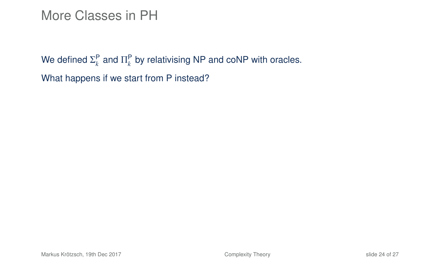### More Classes in PH

We defined  $\Sigma_k^{\mathsf{P}}$  and  $\Pi_k^{\mathsf{P}}$  by relativising NP and coNP with oracles. What happens if we start from P instead?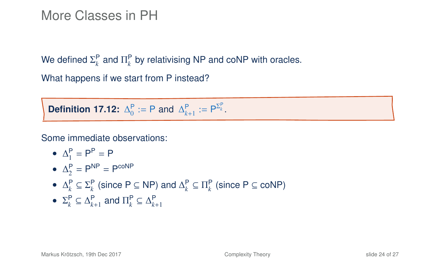### More Classes in PH

We defined  $\Sigma_k^{\mathsf{P}}$  and  $\Pi_k^{\mathsf{P}}$  by relativising NP and coNP with oracles.

What happens if we start from P instead?

**Definition 17.12:**  $\Delta_0^P := P$  and  $\Delta_{k+1}^P := P^{\Sigma_k^P}$ .

Some immediate observations:

•  $\Delta_1^P = P^P = P$ 

• 
$$
\Delta_2^P = P^{NP} = P^{coNP}
$$

- $\Delta_k^P \subseteq \Sigma_k^P$  (since P  $\subseteq$  NP) and  $\Delta_k^P \subseteq \Pi_k^P$  (since P  $\subseteq$  coNP)
- $\Sigma_k^{\mathsf{P}} \subseteq \Delta_{k+1}^{\mathsf{P}}$  and  $\Pi_k^{\mathsf{P}} \subseteq \Delta_{k+1}^{\mathsf{P}}$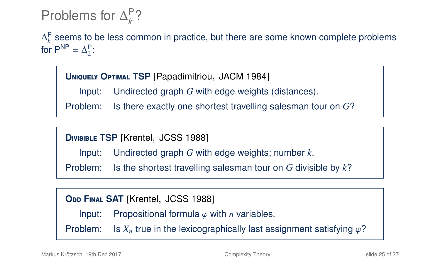#### Problems for  $\Delta_k^{\mathsf{P}}$ *k* ?

∆<sup>P</sup> seems to be less common in practice, but there are some known complete problems for  $P^{NP} = \Delta_2^P$ :

**<sup>U</sup>**niquely **<sup>O</sup>**ptimal **TSP** [Papadimitriou, JACM 1984]

Input: Undirected graph *G* with edge weights (distances).

Problem: Is there exactly one shortest travelling salesman tour on *G*?

**<sup>D</sup>**ivisible **TSP** [Krentel, JCSS 1988]

Input: Undirected graph *G* with edge weights; number *k*.

Problem: Is the shortest travelling salesman tour on *G* divisible by *k*?

**ODD FINAL SAT** [Krentel, JCSS 1988]

Input: Propositional formula  $\varphi$  with *n* variables.

Problem: Is  $X_n$  true in the lexicographically last assignment satisfying  $\varphi$ ?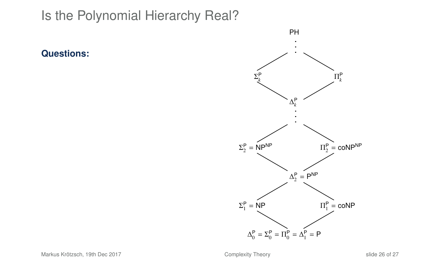**Questions:**

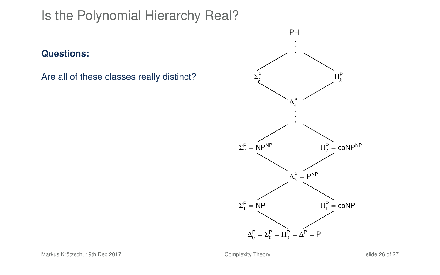#### **Questions:**

Are all of these classes really distinct?

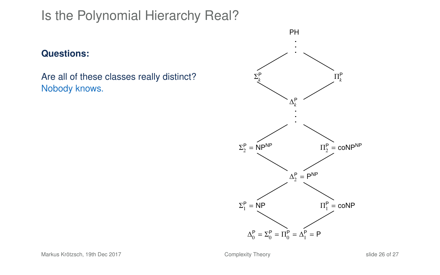#### **Questions:**

Are all of these classes really distinct? Nobody knows.

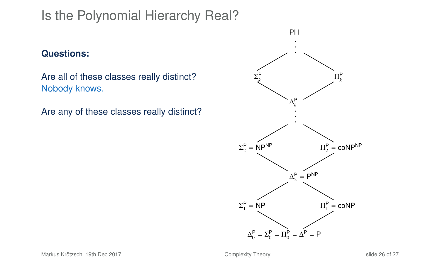#### **Questions:**

Are all of these classes really distinct? Nobody knows.

Are any of these classes really distinct?

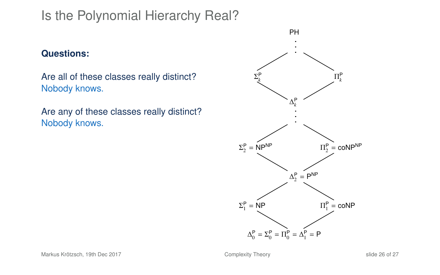#### **Questions:**

Are all of these classes really distinct? Nobody knows.

Are any of these classes really distinct? Nobody knows.

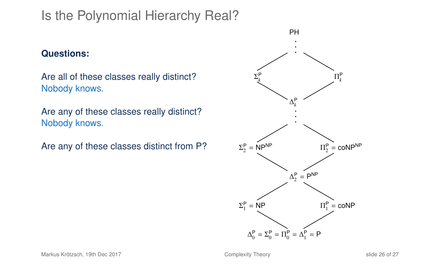#### **Questions:**

Are all of these classes really distinct? Nobody knows.

Are any of these classes really distinct? Nobody knows.

Are any of these classes distinct from P?

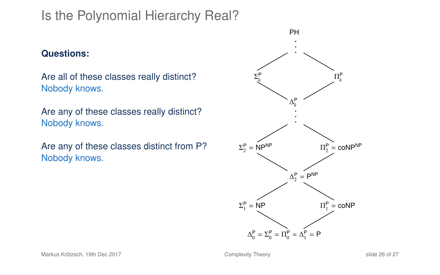#### **Questions:**

Are all of these classes really distinct? Nobody knows.

Are any of these classes really distinct? Nobody knows.

Are any of these classes distinct from P? Nobody knows.

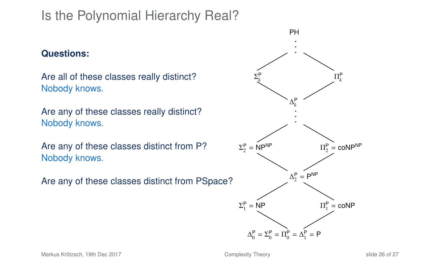#### **Questions:**

Are all of these classes really distinct? Nobody knows.

Are any of these classes really distinct? Nobody knows.

Are any of these classes distinct from P? Nobody knows.

Are any of these classes distinct from PSpace?

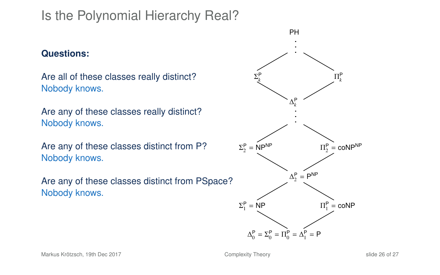#### **Questions:**

Are all of these classes really distinct? Nobody knows.

Are any of these classes really distinct? Nobody knows.

Are any of these classes distinct from P? Nobody knows.

Are any of these classes distinct from PSpace? Nobody knows.

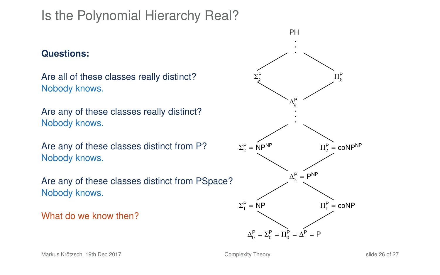#### **Questions:**

Are all of these classes really distinct? Nobody knows.

Are any of these classes really distinct? Nobody knows.

Are any of these classes distinct from P? Nobody knows.

Are any of these classes distinct from PSpace? Nobody knows.

What do we know then?